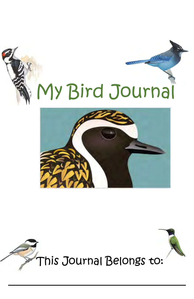



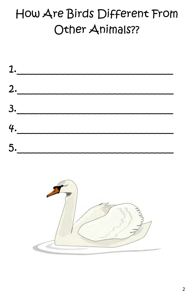# How Are Birds Different From Other Animals??



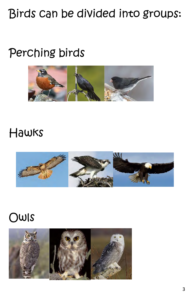# Birds can be divided into groups:

## Perching birds



### Hawks



### Owls

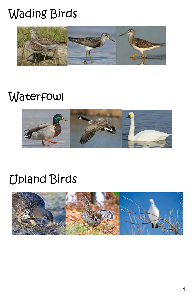# Wading Birds



### **Waterfowl**



### Upland Birds

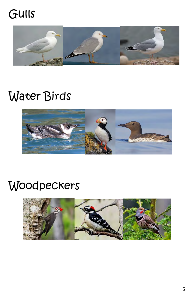# Gulls



# Water Birds



# **Woodpeckers**

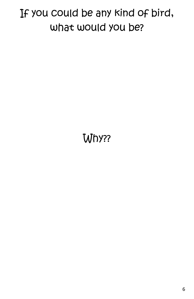## If you could be any kind of bird, what would you be?

# Why??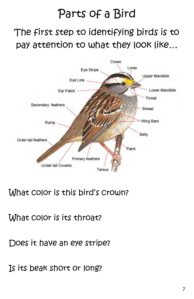### Parts of a Bird

### The first step to identifying birds is to pay attention to what they look like…



#### What color is this bird's crown?

What color is its throat?

Does it have an eye stripe?

Is its beak short or long?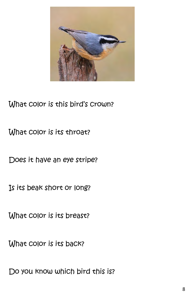

#### What color is this bird's crown?

What color is its throat?

Does it have an eye stripe?

Is its beak short or long?

What color is its breast?

What color is its back?

Do you know which bird this is?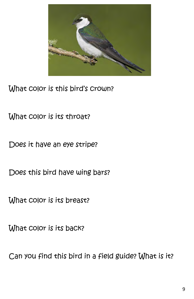

What color is this bird's crown?

What color is its throat?

Does it have an eye stripe?

Does this bird have wing bars?

What color is its breast?

What color is its back?

Can you find this bird in a field guide? What is it?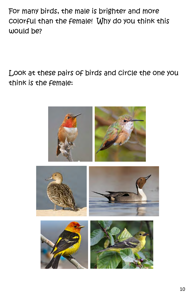For many birds, the male is brighter and more colorful than the female! Why do you think this would be?

Look at these pairs of birds and circle the one you think is the female:

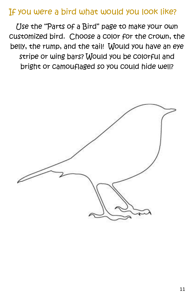#### If you were a bird what would you look like?

Use the "Parts of a Bird" page to make your own customized bird. Choose a color for the crown, the belly, the rump, and the tail! Would you have an eye stripe or wing bars? Would you be colorful and bright or camouflaged so you could hide well?

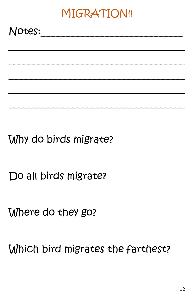# MIGRATION!!

Notes:

Why do birds migrate?

Do all birds migrate?

Where do they go?

Which bird migrates the farthest?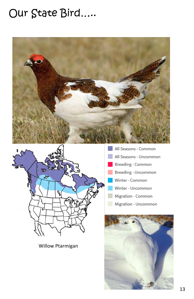### Our State Bird.....





**Willow Ptarmigan** 

- All Seasons Common All Seasons - Uncommon **Breeding - Common Breeding - Uncommon** Winter - Common Winter - Uncommon Migration - Common
- Migration Uncommon

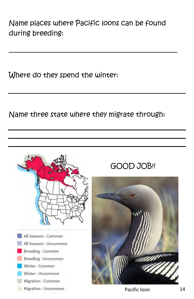Name places where Pacific loons can be found during breeding:

\_\_\_\_\_\_\_\_\_\_\_\_\_\_\_\_\_\_\_\_\_\_\_\_\_\_\_\_\_\_\_\_\_\_\_\_\_\_\_\_\_\_\_\_\_\_\_\_\_

Where do they spend the winter:

Name three state where they migrate through:



#### GOOD JOB!!

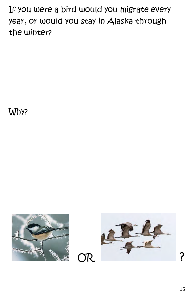If you were a bird would you migrate every year, or would you stay in Alaska through the winter?

Why?



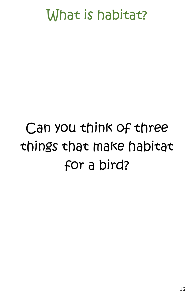# What is habitat?

# Can you think of three things that make habitat for a bird?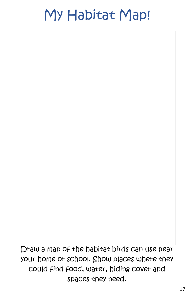# My Habitat Map!

Draw a map of the habitat birds can use near your home or school. Show places where they could find food, water, hiding cover and spaces they need.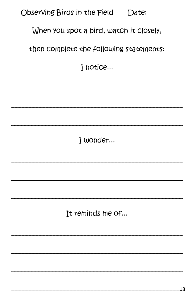| Observing Birds in the Field            | Date: |  |
|-----------------------------------------|-------|--|
| When you spot a bird, watch it closely, |       |  |
| then complete the following statements: |       |  |
| I notice                                |       |  |

I wonder...

It reminds me of...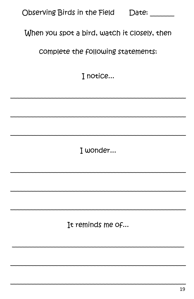| Observing Birds in the Field | Date: |
|------------------------------|-------|
|------------------------------|-------|

#### When you spot a bird, watch it closely, then

complete the following statements:

I notice...

I wonder...

It reminds me of...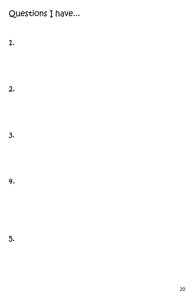Questions I have...

1.

2.

3.

4.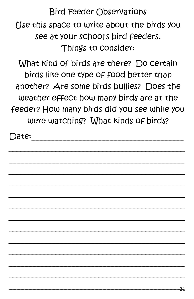Bird Feeder Observations Use this space to write about the birds you see at your school's bird feeders. Things to consider:

What kind of birds are there? Do certain birds like one type of food better than another? Are some birds bullies? Does the weather effect how many birds are at the feeder? How many birds did you see while you were watching? What kinds of birds?

\_\_\_\_\_\_\_\_\_\_\_\_\_\_\_\_\_\_\_\_\_\_\_\_\_\_\_\_\_\_\_\_\_\_\_\_\_\_\_\_\_\_\_\_\_

\_\_\_\_\_\_\_\_\_\_\_\_\_\_\_\_\_\_\_\_\_\_\_\_\_\_\_\_\_\_\_\_\_\_\_\_\_\_\_\_\_\_\_\_\_

\_\_\_\_\_\_\_\_\_\_\_\_\_\_\_\_\_\_\_\_\_\_\_\_\_\_\_\_\_\_\_\_\_\_\_\_\_\_\_\_\_\_\_\_\_

\_\_\_\_\_\_\_\_\_\_\_\_\_\_\_\_\_\_\_\_\_\_\_\_\_\_\_\_\_\_\_\_\_\_\_\_\_\_\_\_\_\_\_\_\_

\_\_\_\_\_\_\_\_\_\_\_\_\_\_\_\_\_\_\_\_\_\_\_\_\_\_\_\_\_\_\_\_\_\_\_\_\_\_\_\_\_\_\_\_\_

\_\_\_\_\_\_\_\_\_\_\_\_\_\_\_\_\_\_\_\_\_\_\_\_\_\_\_\_\_\_\_\_\_\_\_\_\_\_\_\_\_\_\_\_\_

\_\_\_\_\_\_\_\_\_\_\_\_\_\_\_\_\_\_\_\_\_\_\_\_\_\_\_\_\_\_\_\_\_\_\_\_\_\_\_\_\_\_\_\_\_

\_\_\_\_\_\_\_\_\_\_\_\_\_\_\_\_\_\_\_\_\_\_\_\_\_\_\_\_\_\_\_\_\_\_\_\_\_\_\_\_\_\_\_\_\_

\_\_\_\_\_\_\_\_\_\_\_\_\_\_\_\_\_\_\_\_\_\_\_\_\_\_\_\_\_\_\_\_\_\_\_\_\_\_\_\_\_\_\_\_\_

\_\_\_\_\_\_\_\_\_\_\_\_\_\_\_\_\_\_\_\_\_\_\_\_\_\_\_\_\_\_\_\_\_\_\_\_\_\_\_\_\_\_\_\_\_

 $\overline{\phantom{a}}$  , and the contract of the contract of the contract of the contract of the contract of the contract of the contract of the contract of the contract of the contract of the contract of the contract of the contrac

\_\_\_\_\_\_\_\_\_\_\_\_\_\_\_\_\_\_\_\_\_\_\_\_\_\_\_\_\_\_\_\_\_\_\_\_\_\_\_\_\_\_\_\_\_

 $\bigcap \! \mathsf{ate} \! :$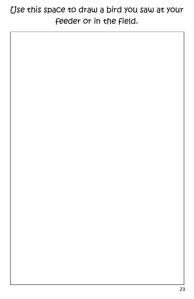### Use this space to draw a bird you saw at your feeder or in the field.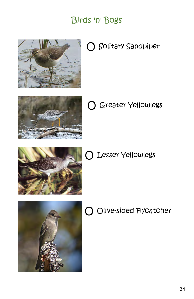#### Birds 'n' Bogs



O Solitary Sandpiper



O Greater Yellowlegs



O Lesser Yellowlegs



O Olive-sided Flycatcher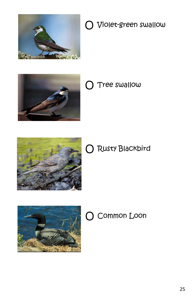

### O Violet-green swallow



O Tree swallow



### O Rusty Blackbird